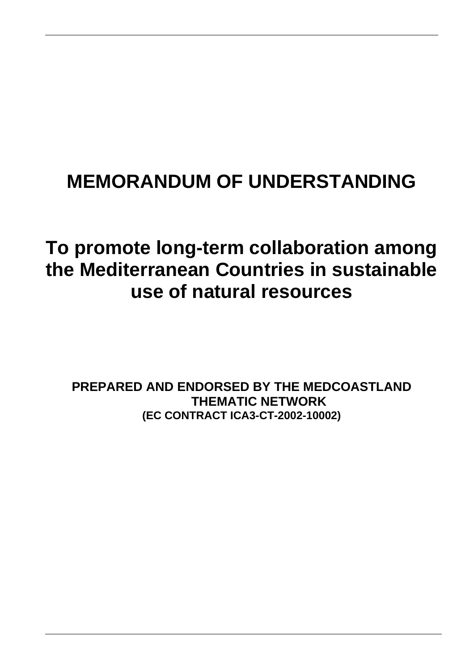# **MEMORANDUM OF UNDERSTANDING**

# **To promote long-term collaboration among the Mediterranean Countries in sustainable use of natural resources**

**PREPARED AND ENDORSED BY THE MEDCOASTLAND THEMATIC NETWORK (EC CONTRACT ICA3-CT-2002-10002)**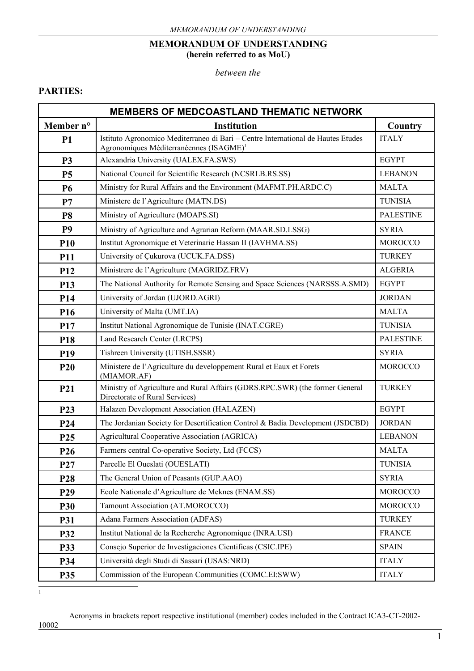#### **MEMORANDUM OF UNDERSTANDING (herein referred to as MoU)**

*between the*

#### **PARTIES:**

| <b>MEMBERS OF MEDCOASTLAND THEMATIC NETWORK</b> |                                                                                                                                         |                  |  |  |
|-------------------------------------------------|-----------------------------------------------------------------------------------------------------------------------------------------|------------------|--|--|
| Member n°                                       | <b>Institution</b>                                                                                                                      | Country          |  |  |
| <b>P1</b>                                       | Istituto Agronomico Mediterraneo di Bari – Centre International de Hautes Etudes<br>Agronomiques Méditerranéennes (ISAGME) <sup>1</sup> | <b>ITALY</b>     |  |  |
| <b>P3</b>                                       | Alexandria University (UALEX.FA.SWS)                                                                                                    | <b>EGYPT</b>     |  |  |
| <b>P5</b>                                       | National Council for Scientific Research (NCSRLB.RS.SS)                                                                                 | <b>LEBANON</b>   |  |  |
| <b>P6</b>                                       | Ministry for Rural Affairs and the Environment (MAFMT.PH.ARDC.C)                                                                        | <b>MALTA</b>     |  |  |
| P7                                              | Ministere de l'Agriculture (MATN.DS)                                                                                                    | <b>TUNISIA</b>   |  |  |
| P <sub>8</sub>                                  | Ministry of Agriculture (MOAPS.SI)                                                                                                      | <b>PALESTINE</b> |  |  |
| <b>P9</b>                                       | Ministry of Agriculture and Agrarian Reform (MAAR.SD.LSSG)                                                                              | <b>SYRIA</b>     |  |  |
| <b>P10</b>                                      | Institut Agronomique et Veterinarie Hassan II (IAVHMA.SS)                                                                               | <b>MOROCCO</b>   |  |  |
| <b>P11</b>                                      | University of Çukurova (UCUK.FA.DSS)                                                                                                    | <b>TURKEY</b>    |  |  |
| P <sub>12</sub>                                 | Ministrere de l'Agriculture (MAGRIDZ.FRV)                                                                                               | <b>ALGERIA</b>   |  |  |
| P <sub>13</sub>                                 | The National Authority for Remote Sensing and Space Sciences (NARSSS.A.SMD)                                                             | <b>EGYPT</b>     |  |  |
| P <sub>14</sub>                                 | University of Jordan (UJORD.AGRI)                                                                                                       | <b>JORDAN</b>    |  |  |
| P <sub>16</sub>                                 | University of Malta (UMT.IA)                                                                                                            | <b>MALTA</b>     |  |  |
| P17                                             | Institut National Agronomique de Tunisie (INAT.CGRE)                                                                                    | <b>TUNISIA</b>   |  |  |
| P <sub>18</sub>                                 | Land Research Center (LRCPS)                                                                                                            | <b>PALESTINE</b> |  |  |
| P <sub>19</sub>                                 | Tishreen University (UTISH.SSSR)                                                                                                        | <b>SYRIA</b>     |  |  |
| <b>P20</b>                                      | Ministere de l'Agriculture du developpement Rural et Eaux et Forets<br>(MIAMOR.AF)                                                      | <b>MOROCCO</b>   |  |  |
| P21                                             | Ministry of Agriculture and Rural Affairs (GDRS.RPC.SWR) (the former General<br>Directorate of Rural Services)                          | <b>TURKEY</b>    |  |  |
| P <sub>23</sub>                                 | Halazen Development Association (HALAZEN)                                                                                               | <b>EGYPT</b>     |  |  |
| P <sub>24</sub>                                 | The Jordanian Society for Desertification Control & Badia Development (JSDCBD)                                                          | <b>JORDAN</b>    |  |  |
| P <sub>25</sub>                                 | Agricultural Cooperative Association (AGRICA)                                                                                           | <b>LEBANON</b>   |  |  |
| P <sub>26</sub>                                 | Farmers central Co-operative Society, Ltd (FCCS)                                                                                        | <b>MALTA</b>     |  |  |
| P <sub>27</sub>                                 | Parcelle El Oueslati (OUESLATI)                                                                                                         | TUNISIA          |  |  |
| P <sub>28</sub>                                 | The General Union of Peasants (GUP.AAO)                                                                                                 | <b>SYRIA</b>     |  |  |
| P <sub>29</sub>                                 | Ecole Nationale d'Agriculture de Meknes (ENAM.SS)                                                                                       | <b>MOROCCO</b>   |  |  |
| <b>P30</b>                                      | Tamount Association (AT.MOROCCO)                                                                                                        | <b>MOROCCO</b>   |  |  |
| <b>P31</b>                                      | Adana Farmers Association (ADFAS)                                                                                                       | <b>TURKEY</b>    |  |  |
| P32                                             | Institut National de la Recherche Agronomique (INRA.USI)                                                                                | <b>FRANCE</b>    |  |  |
| P33                                             | Consejo Superior de Investigaciones Científicas (CSIC.IPE)                                                                              | <b>SPAIN</b>     |  |  |
| P34                                             | Università degli Studi di Sassari (USAS:NRD)                                                                                            | <b>ITALY</b>     |  |  |
| P35                                             | Commission of the European Communities (COMC.EI:SWW)                                                                                    | <b>ITALY</b>     |  |  |

<span id="page-1-0"></span> $\frac{1}{1}$ 

Acronyms in brackets report respective institutional (member) codes included in the Contract ICA3-CT-2002-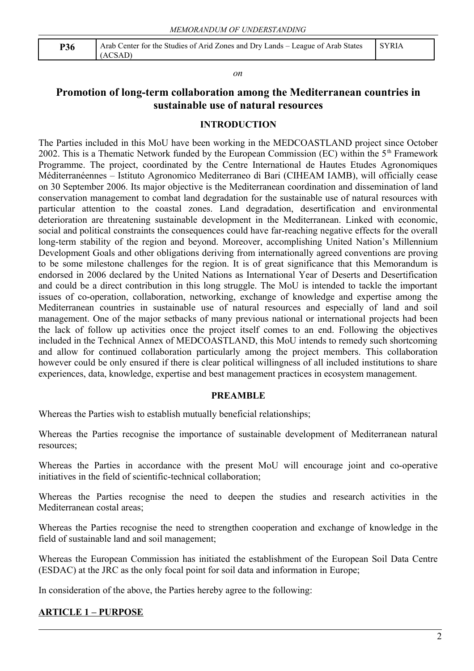| P36 | Arab Center for the Studies of Arid Zones and Dry Lands – League of Arab States   SYRIA |  |
|-----|-----------------------------------------------------------------------------------------|--|
|     | (ACSAD)                                                                                 |  |

#### *on*

## **Promotion of long-term collaboration among the Mediterranean countries in sustainable use of natural resources**

#### **INTRODUCTION**

The Parties included in this MoU have been working in the MEDCOASTLAND project since October 2002. This is a Thematic Network funded by the European Commission (EC) within the 5th Framework Programme. The project, coordinated by the Centre International de Hautes Etudes Agronomiques Méditerranéennes – Istituto Agronomico Mediterraneo di Bari (CIHEAM IAMB), will officially cease on 30 September 2006. Its major objective is the Mediterranean coordination and dissemination of land conservation management to combat land degradation for the sustainable use of natural resources with particular attention to the coastal zones. Land degradation, desertification and environmental deterioration are threatening sustainable development in the Mediterranean. Linked with economic, social and political constraints the consequences could have far-reaching negative effects for the overall long-term stability of the region and beyond. Moreover, accomplishing United Nation's Millennium Development Goals and other obligations deriving from internationally agreed conventions are proving to be some milestone challenges for the region. It is of great significance that this Memorandum is endorsed in 2006 declared by the United Nations as International Year of Deserts and Desertification and could be a direct contribution in this long struggle. The MoU is intended to tackle the important issues of co-operation, collaboration, networking, exchange of knowledge and expertise among the Mediterranean countries in sustainable use of natural resources and especially of land and soil management. One of the major setbacks of many previous national or international projects had been the lack of follow up activities once the project itself comes to an end. Following the objectives included in the Technical Annex of MEDCOASTLAND, this MoU intends to remedy such shortcoming and allow for continued collaboration particularly among the project members. This collaboration however could be only ensured if there is clear political willingness of all included institutions to share experiences, data, knowledge, expertise and best management practices in ecosystem management.

#### **PREAMBLE**

Whereas the Parties wish to establish mutually beneficial relationships;

Whereas the Parties recognise the importance of sustainable development of Mediterranean natural resources;

Whereas the Parties in accordance with the present MoU will encourage joint and co-operative initiatives in the field of scientific-technical collaboration;

Whereas the Parties recognise the need to deepen the studies and research activities in the Mediterranean costal areas;

Whereas the Parties recognise the need to strengthen cooperation and exchange of knowledge in the field of sustainable land and soil management;

Whereas the European Commission has initiated the establishment of the European Soil Data Centre (ESDAC) at the JRC as the only focal point for soil data and information in Europe;

In consideration of the above, the Parties hereby agree to the following:

#### **ARTICLE 1 – PURPOSE**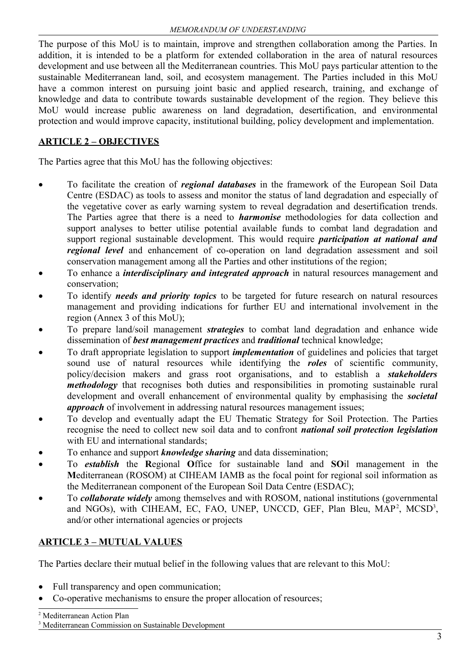The purpose of this MoU is to maintain, improve and strengthen collaboration among the Parties. In addition, it is intended to be a platform for extended collaboration in the area of natural resources development and use between all the Mediterranean countries. This MoU pays particular attention to the sustainable Mediterranean land, soil, and ecosystem management. The Parties included in this MoU have a common interest on pursuing joint basic and applied research, training, and exchange of knowledge and data to contribute towards sustainable development of the region. They believe this MoU would increase public awareness on land degradation, desertification, and environmental protection and would improve capacity, institutional building, policy development and implementation.

# **ARTICLE 2 – OBJECTIVES**

The Parties agree that this MoU has the following objectives:

- To facilitate the creation of *regional databases* in the framework of the European Soil Data Centre (ESDAC) as tools to assess and monitor the status of land degradation and especially of the vegetative cover as early warning system to reveal degradation and desertification trends. The Parties agree that there is a need to *harmonise* methodologies for data collection and support analyses to better utilise potential available funds to combat land degradation and support regional sustainable development. This would require *participation at national and regional level* and enhancement of co-operation on land degradation assessment and soil conservation management among all the Parties and other institutions of the region;
- To enhance a *interdisciplinary and integrated approach* in natural resources management and conservation;
- To identify *needs and priority topics* to be targeted for future research on natural resources management and providing indications for further EU and international involvement in the region (Annex 3 of this MoU);
- To prepare land/soil management *strategies* to combat land degradation and enhance wide dissemination of *best management practices* and *traditional* technical knowledge;
- To draft appropriate legislation to support *implementation* of guidelines and policies that target sound use of natural resources while identifying the *roles* of scientific community, policy/decision makers and grass root organisations, and to establish a *stakeholders methodology* that recognises both duties and responsibilities in promoting sustainable rural development and overall enhancement of environmental quality by emphasising the *societal approach* of involvement in addressing natural resources management issues;
- To develop and eventually adapt the EU Thematic Strategy for Soil Protection. The Parties recognise the need to collect new soil data and to confront *national soil protection legislation* with EU and international standards:
- To enhance and support *knowledge sharing* and data dissemination;
- To *establish* the **R**egional **O**ffice for sustainable land and **SO**il management in the **M**editerranean (ROSOM) at CIHEAM IAMB as the focal point for regional soil information as the Mediterranean component of the European Soil Data Centre (ESDAC);
- To *collaborate widely* among themselves and with ROSOM, national institutions (governmental and NGOs), with CIHEAM, EC, FAO, UNEP, UNCCD, GEF, Plan Bleu, MAP<sup>[2](#page-3-0)</sup>, MCSD<sup>[3](#page-3-1)</sup>, and/or other international agencies or projects

# **ARTICLE 3 – MUTUAL VALUES**

The Parties declare their mutual belief in the following values that are relevant to this MoU:

- Full transparency and open communication;
- <span id="page-3-1"></span><span id="page-3-0"></span>Co-operative mechanisms to ensure the proper allocation of resources;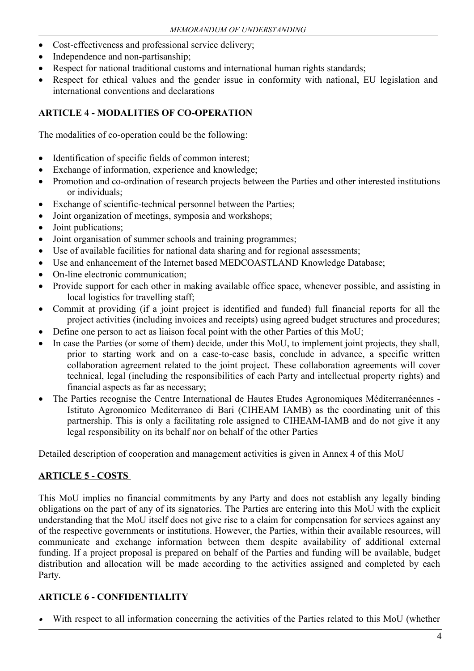- Cost-effectiveness and professional service delivery;
- Independence and non-partisanship;
- Respect for national traditional customs and international human rights standards;
- Respect for ethical values and the gender issue in conformity with national, EU legislation and international conventions and declarations

## **ARTICLE 4 - MODALITIES OF CO-OPERATION**

The modalities of co-operation could be the following:

- Identification of specific fields of common interest;
- Exchange of information, experience and knowledge;
- Promotion and co-ordination of research projects between the Parties and other interested institutions or individuals;
- Exchange of scientific-technical personnel between the Parties;
- Joint organization of meetings, symposia and workshops;
- Joint publications;
- Joint organisation of summer schools and training programmes;
- Use of available facilities for national data sharing and for regional assessments;
- Use and enhancement of the Internet based MEDCOASTLAND Knowledge Database;
- On-line electronic communication;
- Provide support for each other in making available office space, whenever possible, and assisting in local logistics for travelling staff;
- Commit at providing (if a joint project is identified and funded) full financial reports for all the project activities (including invoices and receipts) using agreed budget structures and procedures;
- Define one person to act as liaison focal point with the other Parties of this MoU;
- In case the Parties (or some of them) decide, under this MoU, to implement joint projects, they shall, prior to starting work and on a case-to-case basis, conclude in advance, a specific written collaboration agreement related to the joint project. These collaboration agreements will cover technical, legal (including the responsibilities of each Party and intellectual property rights) and financial aspects as far as necessary;
- The Parties recognise the Centre International de Hautes Etudes Agronomiques Méditerranéennes Istituto Agronomico Mediterraneo di Bari (CIHEAM IAMB) as the coordinating unit of this partnership. This is only a facilitating role assigned to CIHEAM-IAMB and do not give it any legal responsibility on its behalf nor on behalf of the other Parties

Detailed description of cooperation and management activities is given in Annex 4 of this MoU

## **ARTICLE 5 - COSTS**

This MoU implies no financial commitments by any Party and does not establish any legally binding obligations on the part of any of its signatories. The Parties are entering into this MoU with the explicit understanding that the MoU itself does not give rise to a claim for compensation for services against any of the respective governments or institutions. However, the Parties, within their available resources, will communicate and exchange information between them despite availability of additional external funding. If a project proposal is prepared on behalf of the Parties and funding will be available, budget distribution and allocation will be made according to the activities assigned and completed by each Party.

## **ARTICLE 6 - CONFIDENTIALITY**

. With respect to all information concerning the activities of the Parties related to this MoU (whether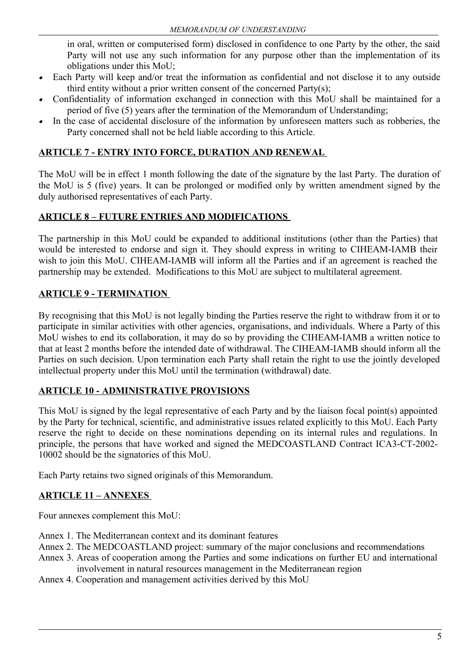in oral, written or computerised form) disclosed in confidence to one Party by the other, the said Party will not use any such information for any purpose other than the implementation of its obligations under this MoU;

- . Each Party will keep and/or treat the information as confidential and not disclose it to any outside third entity without a prior written consent of the concerned Party(s);
- . Confidentiality of information exchanged in connection with this MoU shall be maintained for a period of five (5) years after the termination of the Memorandum of Understanding;
- . In the case of accidental disclosure of the information by unforeseen matters such as robberies, the Party concerned shall not be held liable according to this Article.

# **ARTICLE 7 - ENTRY INTO FORCE, DURATION AND RENEWAL**

The MoU will be in effect 1 month following the date of the signature by the last Party. The duration of the MoU is 5 (five) years. It can be prolonged or modified only by written amendment signed by the duly authorised representatives of each Party.

# **ARTICLE 8 – FUTURE ENTRIES AND MODIFICATIONS**

The partnership in this MoU could be expanded to additional institutions (other than the Parties) that would be interested to endorse and sign it. They should express in writing to CIHEAM-IAMB their wish to join this MoU. CIHEAM-IAMB will inform all the Parties and if an agreement is reached the partnership may be extended. Modifications to this MoU are subject to multilateral agreement.

# **ARTICLE 9 - TERMINATION**

By recognising that this MoU is not legally binding the Parties reserve the right to withdraw from it or to participate in similar activities with other agencies, organisations, and individuals. Where a Party of this MoU wishes to end its collaboration, it may do so by providing the CIHEAM-IAMB a written notice to that at least 2 months before the intended date of withdrawal. The CIHEAM-IAMB should inform all the Parties on such decision. Upon termination each Party shall retain the right to use the jointly developed intellectual property under this MoU until the termination (withdrawal) date.

## **ARTICLE 10 - ADMINISTRATIVE PROVISIONS**

This MoU is signed by the legal representative of each Party and by the liaison focal point(s) appointed by the Party for technical, scientific, and administrative issues related explicitly to this MoU. Each Party reserve the right to decide on these nominations depending on its internal rules and regulations. In principle, the persons that have worked and signed the MEDCOASTLAND Contract ICA3-CT-2002- 10002 should be the signatories of this MoU.

Each Party retains two signed originals of this Memorandum.

## **ARTICLE 11 – ANNEXES**

Four annexes complement this MoU:

- Annex 1. The Mediterranean context and its dominant features
- Annex 2. The MEDCOASTLAND project: summary of the major conclusions and recommendations
- Annex 3. Areas of cooperation among the Parties and some indications on further EU and international involvement in natural resources management in the Mediterranean region
- Annex 4. Cooperation and management activities derived by this MoU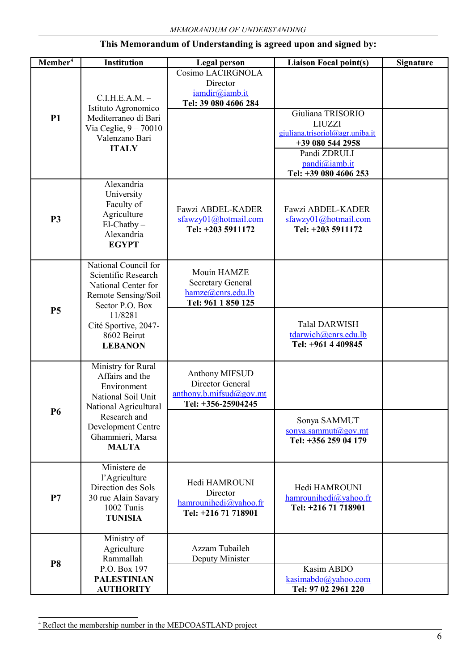| Member <sup>4</sup> | <b>Institution</b>                                                                                           | <b>Legal person</b>                                                                                                      | <b>Liaison Focal point(s)</b>                                                                                                                       | <b>Signature</b> |
|---------------------|--------------------------------------------------------------------------------------------------------------|--------------------------------------------------------------------------------------------------------------------------|-----------------------------------------------------------------------------------------------------------------------------------------------------|------------------|
|                     | C.I.H.E.A.M. –<br>Istituto Agronomico                                                                        | Cosimo LACIRGNOLA<br>Director<br>iamdir@iamb.it<br>Tel: 39 080 4606 284                                                  |                                                                                                                                                     |                  |
| <b>P1</b>           | Mediterraneo di Bari<br>Via Ceglie, $9 - 70010$<br>Valenzano Bari<br><b>ITALY</b>                            |                                                                                                                          | Giuliana TRISORIO<br><b>LIUZZI</b><br>giuliana.trisoriol@agr.uniba.it<br>+39 080 544 2958<br>Pandi ZDRULI<br>pandi@iamb.it<br>Tel: +39 080 4606 253 |                  |
| <b>P3</b>           | Alexandria<br>University<br>Faculty of<br>Agriculture<br>$El-Chatby -$<br>Alexandria<br><b>EGYPT</b>         | Fawzi ABDEL-KADER<br>sfawzy01@hotmail.com<br>Tel: +203 5911172                                                           | Fawzi ABDEL-KADER<br>sfawzy01@hotmail.com<br>Tel: +203 5911172                                                                                      |                  |
|                     | National Council for<br>Scientific Research<br>National Center for<br>Remote Sensing/Soil<br>Sector P.O. Box | Mouin HAMZE<br><b>Secretary General</b><br>hamze@cnrs.edu.lb<br>Tel: 961 1 850 125                                       |                                                                                                                                                     |                  |
| <b>P5</b>           | 11/8281<br>Cité Sportive, 2047-<br>8602 Beirut<br><b>LEBANON</b>                                             |                                                                                                                          | <b>Talal DARWISH</b><br>tdarwich@cnrs.edu.lb<br>Tel: +961 4 409845                                                                                  |                  |
|                     | Ministry for Rural<br>Affairs and the<br>Environment<br>National Soil Unit<br>National Agricultural          | <b>Anthony MIFSUD</b><br>Director General<br>$\frac{\text{anthony.b.mifsud@gov.mt}}{\text{autup}}$<br>Tel: +356-25904245 |                                                                                                                                                     |                  |
| P <sub>6</sub>      | Research and<br>Development Centre<br>Ghammieri, Marsa<br><b>MALTA</b>                                       |                                                                                                                          | Sonya SAMMUT<br>sonya.sammut@gov.mt<br>Tel: +356 259 04 179                                                                                         |                  |
| P7                  | Ministere de<br>l'Agriculture<br>Direction des Sols<br>30 rue Alain Savary<br>1002 Tunis<br><b>TUNISIA</b>   | Hedi HAMROUNI<br>Director<br>hamrounihedi@yahoo.fr<br>Tel: +216 71 718901                                                | Hedi HAMROUNI<br>hamrounihedi@yahoo.fr<br>Tel: +216 71 718901                                                                                       |                  |
| <b>P8</b>           | Ministry of<br>Agriculture<br>Rammallah<br>P.O. Box 197                                                      | Azzam Tubaileh<br>Deputy Minister                                                                                        | Kasim ABDO                                                                                                                                          |                  |
|                     | <b>PALESTINIAN</b><br><b>AUTHORITY</b>                                                                       |                                                                                                                          | kasimabdo@yahoo.com<br>Tel: 97 02 2961 220                                                                                                          |                  |

## **This Memorandum of Understanding is agreed upon and signed by:**

<span id="page-6-0"></span>4 Reflect the membership number in the MEDCOASTLAND project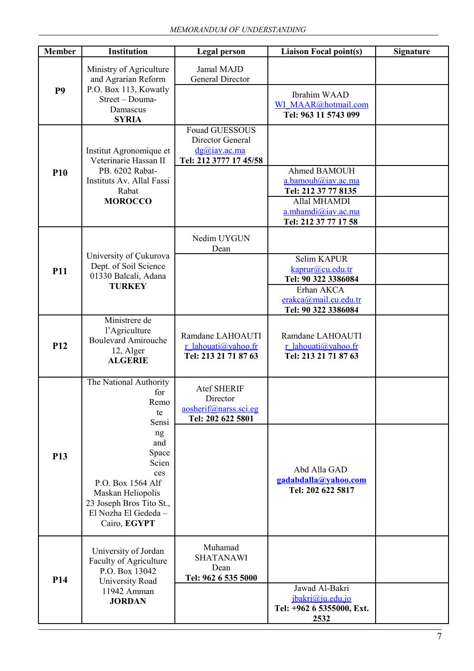| <b>Member</b>   | Institution                                                                                                                                                                                              | <b>Legal person</b>                                                                    | <b>Liaison Focal point(s)</b>                                                                                           | <b>Signature</b> |
|-----------------|----------------------------------------------------------------------------------------------------------------------------------------------------------------------------------------------------------|----------------------------------------------------------------------------------------|-------------------------------------------------------------------------------------------------------------------------|------------------|
| P <sub>9</sub>  | Ministry of Agriculture<br>and Agrarian Reform<br>P.O. Box 113, Kowatly<br>Street - Douma-<br>Damascus<br><b>SYRIA</b>                                                                                   | Jamal MAJD<br>General Director                                                         | Ibrahim WAAD<br>WI MAAR@hotmail.com<br>Tel: 963 11 5743 099                                                             |                  |
| <b>P10</b>      | Institut Agronomique et<br>Veterinarie Hassan II<br>PB. 6202 Rabat-<br>Instituts Av. Allal Fassi<br>Rabat<br><b>MOROCCO</b>                                                                              | <b>Fouad GUESSOUS</b><br>Director General<br>$d$ g@iav.ac.ma<br>Tel: 212 3777 17 45/58 | Ahmed BAMOUH<br>a.bamouh@iav.ac.ma<br>Tel: 212 37 77 8135<br>Allal MHAMDI<br>a.mhamdi@iav.ac.ma<br>Tel: 212 37 77 17 58 |                  |
| <b>P11</b>      | University of Çukurova<br>Dept. of Soil Science<br>01330 Balcali, Adana<br><b>TURKEY</b>                                                                                                                 | Nedim UYGUN<br>Dean                                                                    | Selim KAPUR<br>kaprur@cu.edu.tr<br>Tel: 90 322 3386084<br>Erhan AKCA<br>erakca@mail.cu.edu.tr<br>Tel: 90 322 3386084    |                  |
| P <sub>12</sub> | Ministrere de<br>l'Agriculture<br><b>Boulevard Amirouche</b><br>12, Alger<br><b>ALGERIE</b>                                                                                                              | Ramdane LAHOAUTI<br>r lahouati@yahoo.fr<br>Tel: 213 21 71 87 63                        | Ramdane LAHOAUTI<br>r lahouati@yahoo.fr<br>Tel: 213 21 71 87 63                                                         |                  |
| P <sub>13</sub> | The National Authority<br>for<br>Remo<br>te<br>Sensi<br>ng<br>and<br>Space<br>Scien<br>ces<br>P.O. Box 1564 Alf<br>Maskan Heliopolis<br>23 Joseph Bros Tito St.,<br>El Nozha El Gededa -<br>Cairo, EGYPT | <b>Atef SHERIF</b><br>Director<br>aosherif@narss.sci.eg<br>Tel: 202 622 5801           | Abd Alla GAD<br>gadabdalla@yahoo.com<br>Tel: 202 622 5817                                                               |                  |
| <b>P14</b>      | University of Jordan<br>Faculty of Agriculture<br>P.O. Box 13042<br>University Road<br>11942 Amman<br><b>JORDAN</b>                                                                                      | Muhamad<br><b>SHATANAWI</b><br>Dean<br>Tel: 962 6 535 5000                             | Jawad Al-Bakri<br>jbakri@ju.edu.jo<br>Tel: +962 6 5355000, Ext.<br>2532                                                 |                  |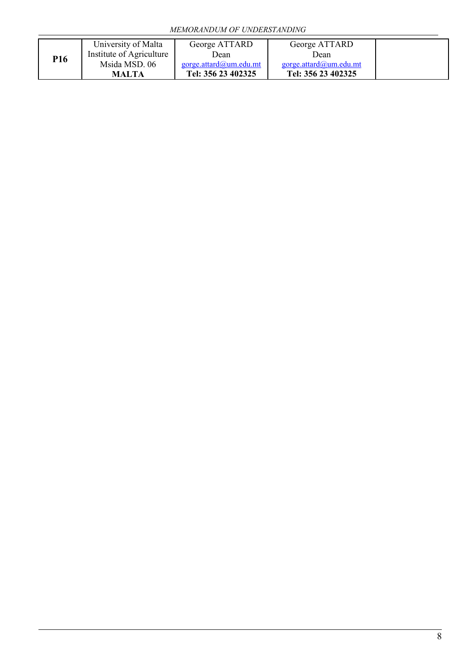| P16 | University of Malta      | George ATTARD          | George ATTARD          |
|-----|--------------------------|------------------------|------------------------|
|     | Institute of Agriculture | Dean                   | Dean                   |
|     | Msida MSD. 06            | gorge.attard@um.edu.mt | gorge.attard@um.edu.mt |
|     | <b>MALTA</b>             | Tel: 356 23 402325     | Tel: 356 23 402325     |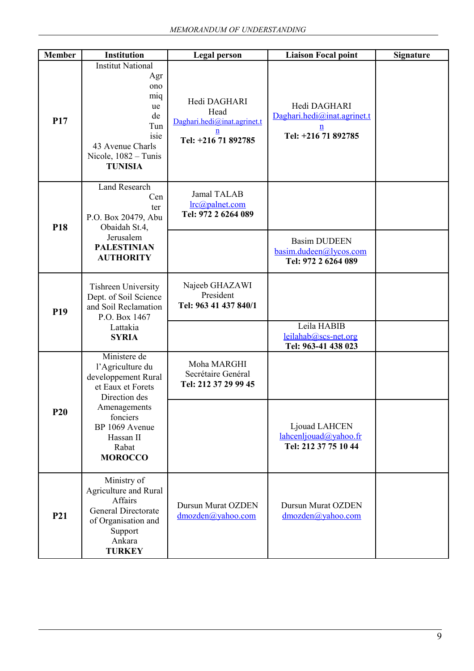| <b>Member</b>   | <b>Institution</b>                                                                                                                                                                  | <b>Legal person</b>                                                             | <b>Liaison Focal point</b>                                                            | <b>Signature</b> |
|-----------------|-------------------------------------------------------------------------------------------------------------------------------------------------------------------------------------|---------------------------------------------------------------------------------|---------------------------------------------------------------------------------------|------------------|
| <b>P17</b>      | <b>Institut National</b><br>Agr<br>ono<br>miq<br>ue<br>de<br>Tun<br>isie<br>43 Avenue Charls<br>Nicole, $1082 - T$ unis<br><b>TUNISIA</b>                                           | Hedi DAGHARI<br>Head<br>Daghari.hedi@inat.agrinet.t<br>n<br>Tel: +216 71 892785 | Hedi DAGHARI<br>Daghari.hedi@inat.agrinet.t<br>$\underline{n}$<br>Tel: +216 71 892785 |                  |
| P18             | <b>Land Research</b><br>Cen<br>ter<br>P.O. Box 20479, Abu<br>Obaidah St.4,<br>Jerusalem<br><b>PALESTINIAN</b>                                                                       | Jamal TALAB<br>$irc(\omega)$ palnet.com<br>Tel: 972 2 6264 089                  | <b>Basim DUDEEN</b>                                                                   |                  |
|                 | <b>AUTHORITY</b>                                                                                                                                                                    |                                                                                 | basim.dudeen@lycos.com<br>Tel: 972 2 6264 089                                         |                  |
| P <sub>19</sub> | <b>Tishreen University</b><br>Dept. of Soil Science<br>and Soil Reclamation<br>P.O. Box 1467                                                                                        | Najeeb GHAZAWI<br>President<br>Tel: 963 41 437 840/1                            |                                                                                       |                  |
|                 | Lattakia<br><b>SYRIA</b>                                                                                                                                                            |                                                                                 | Leila HABIB<br>leilahab@scs-net.org<br>Tel: 963-41 438 023                            |                  |
|                 | Ministere de<br>l'Agriculture du<br>developpement Rural<br>et Eaux et Forets<br>Direction des<br>Amenagements<br>fonciers<br>BP 1069 Avenue<br>Hassan II<br>Rabat<br><b>MOROCCO</b> | Moha MARGHI<br>Secrétaire Genéral<br>Tel: 212 37 29 99 45                       |                                                                                       |                  |
| <b>P20</b>      |                                                                                                                                                                                     |                                                                                 | Ljouad LAHCEN<br>lahcenljouad@yahoo.fr<br>Tel: 212 37 75 10 44                        |                  |
| P21             | Ministry of<br>Agriculture and Rural<br>Affairs<br><b>General Directorate</b><br>of Organisation and<br>Support<br>Ankara<br><b>TURKEY</b>                                          | <b>Dursun Murat OZDEN</b><br>dmozden@yahoo.com                                  | Dursun Murat OZDEN<br>$d$ mozden $(a)$ yahoo.com                                      |                  |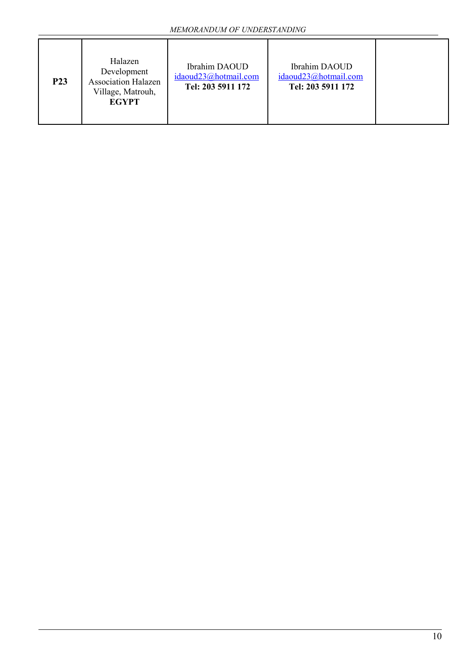| <b>P23</b> | Halazen<br>Development<br><b>Association Halazen</b><br>Village, Matrouh,<br><b>EGYPT</b> | Ibrahim DAOUD<br>idaoud23@hotmail.com<br>Tel: 203 5911 172 | Ibrahim DAOUD<br>idaoud23@hotmail.com<br>Tel: 203 5911 172 |  |
|------------|-------------------------------------------------------------------------------------------|------------------------------------------------------------|------------------------------------------------------------|--|
|------------|-------------------------------------------------------------------------------------------|------------------------------------------------------------|------------------------------------------------------------|--|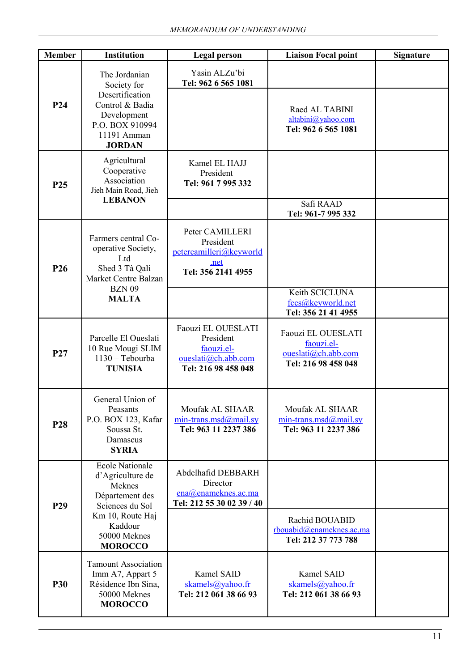| <b>Member</b>   | <b>Institution</b>                                                                                                                                          | <b>Legal person</b>                                                                         | <b>Liaison Focal point</b>                                                                                                 | <b>Signature</b> |
|-----------------|-------------------------------------------------------------------------------------------------------------------------------------------------------------|---------------------------------------------------------------------------------------------|----------------------------------------------------------------------------------------------------------------------------|------------------|
| P <sub>24</sub> | The Jordanian<br>Society for<br>Desertification<br>Control & Badia<br>Development<br>P.O. BOX 910994<br>11191 Amman                                         | Yasin ALZu'bi<br>Tel: 962 6 565 1081                                                        | Raed AL TABINI<br>altabini@yahoo.com<br>Tel: 962 6 565 1081                                                                |                  |
| P <sub>25</sub> | <b>JORDAN</b><br>Agricultural<br>Cooperative<br>Association<br>Jieh Main Road, Jieh<br><b>LEBANON</b>                                                       | Kamel EL HAJJ<br>President<br>Tel: 961 7 995 332                                            | Safi RAAD<br>Tel: 961-7 995 332                                                                                            |                  |
| P <sub>26</sub> | Farmers central Co-<br>operative Society,<br>Ltd<br>Shed 3 Tà Qali<br>Market Centre Balzan<br><b>BZN 09</b><br><b>MALTA</b>                                 | Peter CAMILLERI<br>President<br>petercamilleri@keyworld<br>.net<br>Tel: 356 2141 4955       | Keith SCICLUNA                                                                                                             |                  |
| P <sub>27</sub> | Parcelle El Oueslati<br>10 Rue Mougi SLIM<br>1130 - Tebourba<br><b>TUNISIA</b>                                                                              | Faouzi EL OUESLATI<br>President<br>faouzi.el-<br>oueslati@ch.abb.com<br>Tel: 216 98 458 048 | fccs@keyworld.net<br>Tel: 356 21 41 4955<br>Faouzi EL OUESLATI<br>faouzi.el-<br>oueslati@ch.abb.com<br>Tel: 216 98 458 048 |                  |
| P <sub>28</sub> | General Union of<br>Peasants<br>P.O. BOX 123, Kafar<br>Soussa St.<br>Damascus<br><b>SYRIA</b>                                                               | Moufak AL SHAAR<br>$min-trans.msd@mail,sy$<br>Tel: 963 11 2237 386                          | Moufak AL SHAAR<br>$min\text{-}trans\text{-}msd@mail$ .sy<br>Tel: 963 11 2237 386                                          |                  |
| P <sub>29</sub> | <b>Ecole Nationale</b><br>d'Agriculture de<br>Meknes<br>Département des<br>Sciences du Sol<br>Km 10, Route Haj<br>Kaddour<br>50000 Meknes<br><b>MOROCCO</b> | Abdelhafid DEBBARH<br>Director<br>ena@enameknes.ac.ma<br>Tel: 212 55 30 02 39 / 40          | Rachid BOUABID<br>rbouabid@enameknes.ac.ma<br>Tel: 212 37 773 788                                                          |                  |
| <b>P30</b>      | <b>Tamount Association</b><br>Imm A7, Appart 5<br>Résidence Ibn Sina,<br>50000 Meknes<br><b>MOROCCO</b>                                                     | Kamel SAID<br>skamels@yahoo.fr<br>Tel: 212 061 38 66 93                                     | Kamel SAID<br>skamels@yahoo.fr<br>Tel: 212 061 38 66 93                                                                    |                  |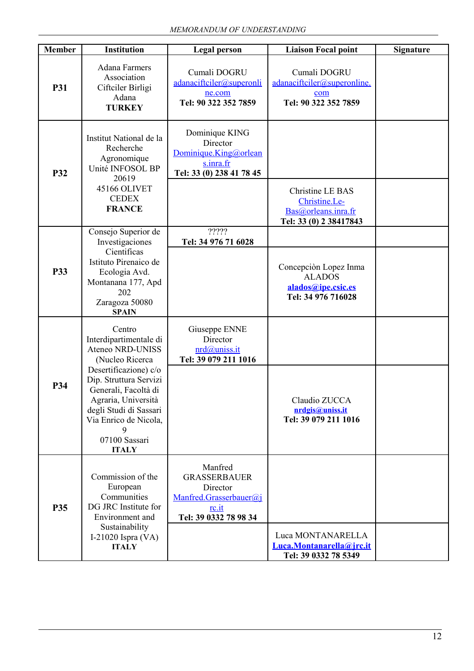| <b>Member</b> | Institution                                                                                                                                                             | <b>Legal person</b>                                                                                    | <b>Liaison Focal point</b>                                                         | <b>Signature</b> |
|---------------|-------------------------------------------------------------------------------------------------------------------------------------------------------------------------|--------------------------------------------------------------------------------------------------------|------------------------------------------------------------------------------------|------------------|
| <b>P31</b>    | <b>Adana Farmers</b><br>Association<br>Ciftciler Birligi<br>Adana<br><b>TURKEY</b>                                                                                      | Cumali DOGRU<br>adanaciftciler@superonli<br>ne.com<br>Tel: 90 322 352 7859                             | Cumali DOGRU<br>adanaciftciler@superonline.<br>com<br>Tel: 90 322 352 7859         |                  |
| <b>P32</b>    | Institut National de la<br>Recherche<br>Agronomique<br>Unité INFOSOL BP<br>20619<br>45166 OLIVET<br><b>CEDEX</b>                                                        | Dominique KING<br>Director<br>Dominique.King@orlean<br>s.inra.fr<br>Tel: 33 (0) 238 41 78 45           | Christine LE BAS<br>Christine.Le-                                                  |                  |
|               | <b>FRANCE</b>                                                                                                                                                           |                                                                                                        | Bas@orleans.inra.fr<br>Tel: 33 (0) 2 38417843                                      |                  |
|               | Consejo Superior de<br>Investigaciones                                                                                                                                  | ?????<br>Tel: 34 976 71 6028                                                                           |                                                                                    |                  |
| P33           | Cientificas<br>Istituto Pirenaico de<br>Ecologia Avd.<br>Montanana 177, Apd<br>202<br>Zaragoza 50080<br><b>SPAIN</b>                                                    |                                                                                                        | Concepción Lopez Inma<br><b>ALADOS</b><br>alados@ipe.csic.es<br>Tel: 34 976 716028 |                  |
|               | Centro<br>Interdipartimentale di<br>Ateneo NRD-UNISS<br>(Nucleo Ricerca                                                                                                 | Giuseppe ENNE<br>Director<br>nrd@uniss.it<br>Tel: 39 079 211 1016                                      |                                                                                    |                  |
| P34           | Desertificazione) c/o<br>Dip. Struttura Servizi<br>Generali, Facoltà di<br>Agraria, Università<br>degli Studi di Sassari<br>Via Enrico de Nicola,<br>9<br>07100 Sassari |                                                                                                        | Claudio ZUCCA<br>nrdgis@uniss.it<br>Tel: 39 079 211 1016                           |                  |
|               | <b>ITALY</b>                                                                                                                                                            |                                                                                                        |                                                                                    |                  |
| <b>P35</b>    | Commission of the<br>European<br>Communities<br>DG JRC Institute for<br>Environment and<br>Sustainability                                                               | Manfred<br><b>GRASSERBAUER</b><br>Director<br>Manfred.Grasserbauer@i<br>rc.it<br>Tel: 39 0332 78 98 34 |                                                                                    |                  |
|               | I-21020 Ispra $(VA)$<br><b>ITALY</b>                                                                                                                                    |                                                                                                        | Luca MONTANARELLA<br>Luca.Montanarella@jrc.it<br>Tel: 39 0332 78 5349              |                  |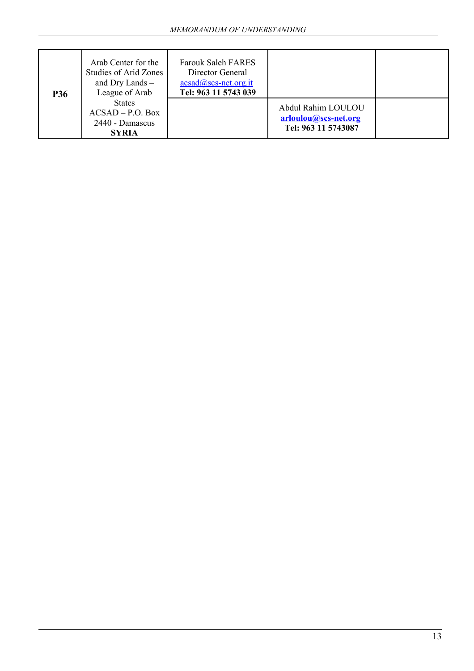| <b>P36</b> | Arab Center for the<br>Studies of Arid Zones<br>and Dry Lands $-$<br>League of Arab | <b>Farouk Saleh FARES</b><br>Director General<br>$acsad@scs-net.org.it$<br>Tel: 963 11 5743 039 |                                                                   |  |
|------------|-------------------------------------------------------------------------------------|-------------------------------------------------------------------------------------------------|-------------------------------------------------------------------|--|
|            | <b>States</b><br>$ACSAD - P.O. Box$<br>2440 - Damascus<br><b>SYRIA</b>              |                                                                                                 | Abdul Rahim LOULOU<br>arloulou@scs-net.org<br>Tel: 963 11 5743087 |  |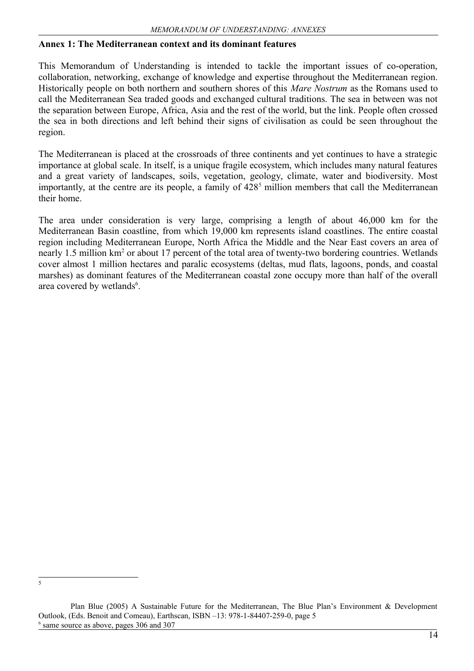#### **Annex 1: The Mediterranean context and its dominant features**

This Memorandum of Understanding is intended to tackle the important issues of co-operation, collaboration, networking, exchange of knowledge and expertise throughout the Mediterranean region. Historically people on both northern and southern shores of this *Mare Nostrum* as the Romans used to call the Mediterranean Sea traded goods and exchanged cultural traditions. The sea in between was not the separation between Europe, Africa, Asia and the rest of the world, but the link. People often crossed the sea in both directions and left behind their signs of civilisation as could be seen throughout the region.

The Mediterranean is placed at the crossroads of three continents and yet continues to have a strategic importance at global scale. In itself, is a unique fragile ecosystem, which includes many natural features and a great variety of landscapes, soils, vegetation, geology, climate, water and biodiversity. Most importantly, at the centre are its people, a family of 428<sup>[5](#page-14-0)</sup> million members that call the Mediterranean their home.

The area under consideration is very large, comprising a length of about 46,000 km for the Mediterranean Basin coastline, from which 19,000 km represents island coastlines. The entire coastal region including Mediterranean Europe, North Africa the Middle and the Near East covers an area of nearly 1.5 million km<sup>2</sup> or about 17 percent of the total area of twenty-two bordering countries. Wetlands cover almost 1 million hectares and paralic ecosystems (deltas, mud flats, lagoons, ponds, and coastal marshes) as dominant features of the Mediterranean coastal zone occupy more than half of the overall area covered by wetlands<sup>[6](#page-14-1)</sup>.

<span id="page-14-0"></span>5

<span id="page-14-1"></span>Plan Blue (2005) A Sustainable Future for the Mediterranean, The Blue Plan's Environment & Development Outlook, (Eds. Benoit and Comeau), Earthscan, ISBN –13: 978-1-84407-259-0, page 5 <sup>6</sup> same source as above, pages 306 and 307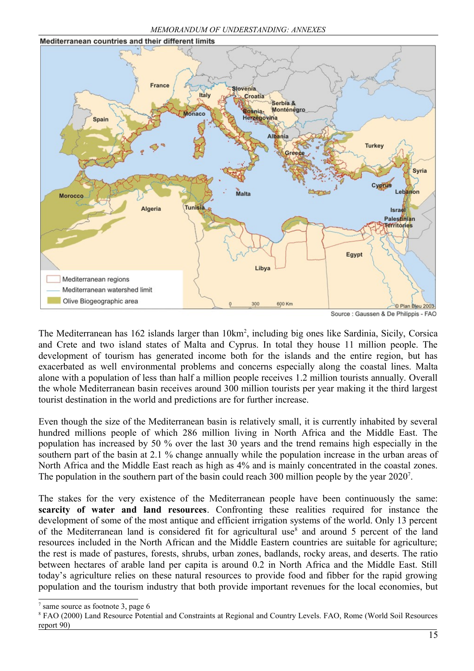*MEMORANDUM OF UNDERSTANDING: ANNEXES*



The Mediterranean has 162 islands larger than 10km<sup>2</sup>, including big ones like Sardinia, Sicily, Corsica and Crete and two island states of Malta and Cyprus. In total they house 11 million people. The development of tourism has generated income both for the islands and the entire region, but has exacerbated as well environmental problems and concerns especially along the coastal lines. Malta alone with a population of less than half a million people receives 1.2 million tourists annually. Overall the whole Mediterranean basin receives around 300 million tourists per year making it the third largest tourist destination in the world and predictions are for further increase.

Even though the size of the Mediterranean basin is relatively small, it is currently inhabited by several hundred millions people of which 286 million living in North Africa and the Middle East. The population has increased by 50 % over the last 30 years and the trend remains high especially in the southern part of the basin at 2.1 % change annually while the population increase in the urban areas of North Africa and the Middle East reach as high as 4% and is mainly concentrated in the coastal zones. The population in the southern part of the basin could reach 300 million people by the year 2020<sup>[7](#page-15-0)</sup>.

The stakes for the very existence of the Mediterranean people have been continuously the same: **scarcity of water and land resources**. Confronting these realities required for instance the development of some of the most antique and efficient irrigation systems of the world. Only 13 percent of the Mediterranean land is considered fit for agricultural use<sup>[8](#page-15-1)</sup> and around 5 percent of the land resources included in the North African and the Middle Eastern countries are suitable for agriculture; the rest is made of pastures, forests, shrubs, urban zones, badlands, rocky areas, and deserts. The ratio between hectares of arable land per capita is around 0.2 in North Africa and the Middle East. Still today's agriculture relies on these natural resources to provide food and fibber for the rapid growing population and the tourism industry that both provide important revenues for the local economies, but

<span id="page-15-0"></span><sup>7</sup> same source as footnote 3, page 6

<span id="page-15-1"></span><sup>8</sup> FAO (2000) Land Resource Potential and Constraints at Regional and Country Levels. FAO, Rome (World Soil Resources report 90)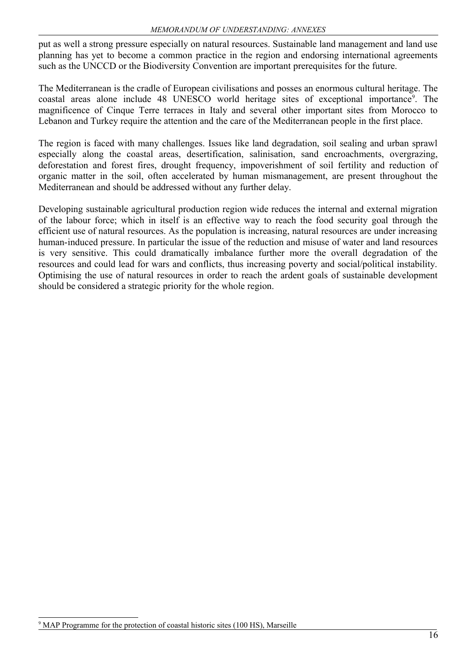put as well a strong pressure especially on natural resources. Sustainable land management and land use planning has yet to become a common practice in the region and endorsing international agreements such as the UNCCD or the Biodiversity Convention are important prerequisites for the future.

The Mediterranean is the cradle of European civilisations and posses an enormous cultural heritage. The coastal areas alone include 48 UNESCO world heritage sites of exceptional importance<sup>[9](#page-16-0)</sup>. The magnificence of Cinque Terre terraces in Italy and several other important sites from Morocco to Lebanon and Turkey require the attention and the care of the Mediterranean people in the first place.

The region is faced with many challenges. Issues like land degradation, soil sealing and urban sprawl especially along the coastal areas, desertification, salinisation, sand encroachments, overgrazing, deforestation and forest fires, drought frequency, impoverishment of soil fertility and reduction of organic matter in the soil, often accelerated by human mismanagement, are present throughout the Mediterranean and should be addressed without any further delay.

Developing sustainable agricultural production region wide reduces the internal and external migration of the labour force; which in itself is an effective way to reach the food security goal through the efficient use of natural resources. As the population is increasing, natural resources are under increasing human-induced pressure. In particular the issue of the reduction and misuse of water and land resources is very sensitive. This could dramatically imbalance further more the overall degradation of the resources and could lead for wars and conflicts, thus increasing poverty and social/political instability. Optimising the use of natural resources in order to reach the ardent goals of sustainable development should be considered a strategic priority for the whole region.

<span id="page-16-0"></span><sup>&</sup>lt;sup>9</sup> MAP Programme for the protection of coastal historic sites (100 HS), Marseille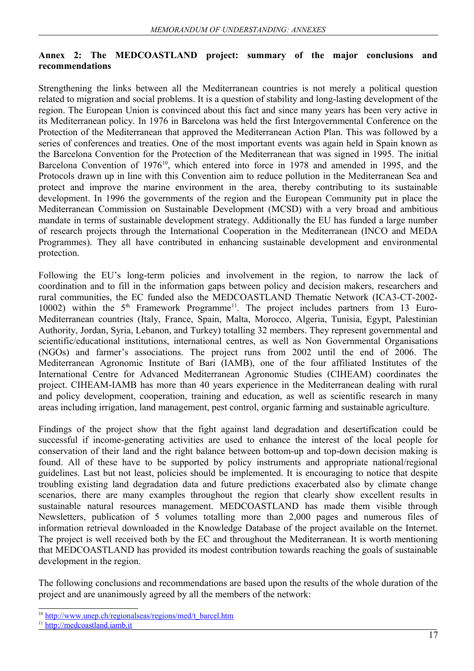#### **Annex 2: The MEDCOASTLAND project: summary of the major conclusions and recommendations**

Strengthening the links between all the Mediterranean countries is not merely a political question related to migration and social problems. It is a question of stability and long-lasting development of the region. The European Union is convinced about this fact and since many years has been very active in its Mediterranean policy. In 1976 in Barcelona was held the first Intergovernmental Conference on the Protection of the Mediterranean that approved the Mediterranean Action Plan. This was followed by a series of conferences and treaties. One of the most important events was again held in Spain known as the Barcelona Convention for the Protection of the Mediterranean that was signed in 1995. The initial Barcelona Convention of 1976<sup>[10](#page-17-0)</sup>, which entered into force in 1978 and amended in 1995, and the Protocols drawn up in line with this Convention aim to reduce pollution in the Mediterranean Sea and protect and improve the marine environment in the area, thereby contributing to its sustainable development. In 1996 the governments of the region and the European Community put in place the Mediterranean Commission on Sustainable Development (MCSD) with a very broad and ambitious mandate in terms of sustainable development strategy. Additionally the EU has funded a large number of research projects through the International Cooperation in the Mediterranean (INCO and MEDA Programmes). They all have contributed in enhancing sustainable development and environmental protection.

Following the EU's long-term policies and involvement in the region, to narrow the lack of coordination and to fill in the information gaps between policy and decision makers, researchers and rural communities, the EC funded also the MEDCOASTLAND Thematic Network (ICA3-CT-2002- 10002) within the 5<sup>th</sup> Framework Programme<sup>[11](#page-17-1)</sup>. The project includes partners from 13 Euro-Mediterranean countries (Italy, France, Spain, Malta, Morocco, Algeria, Tunisia, Egypt, Palestinian Authority, Jordan, Syria, Lebanon, and Turkey) totalling 32 members. They represent governmental and scientific/educational institutions, international centres, as well as Non Governmental Organisations (NGOs) and farmer's associations. The project runs from 2002 until the end of 2006. The Mediterranean Agronomic Institute of Bari (IAMB), one of the four affiliated Institutes of the International Centre for Advanced Mediterranean Agronomic Studies (CIHEAM) coordinates the project. CIHEAM-IAMB has more than 40 years experience in the Mediterranean dealing with rural and policy development, cooperation, training and education, as well as scientific research in many areas including irrigation, land management, pest control, organic farming and sustainable agriculture.

Findings of the project show that the fight against land degradation and desertification could be successful if income-generating activities are used to enhance the interest of the local people for conservation of their land and the right balance between bottom-up and top-down decision making is found. All of these have to be supported by policy instruments and appropriate national/regional guidelines. Last but not least, policies should be implemented. It is encouraging to notice that despite troubling existing land degradation data and future predictions exacerbated also by climate change scenarios, there are many examples throughout the region that clearly show excellent results in sustainable natural resources management. MEDCOASTLAND has made them visible through Newsletters, publication of 5 volumes totalling more than 2,000 pages and numerous files of information retrieval downloaded in the Knowledge Database of the project available on the Internet. The project is well received both by the EC and throughout the Mediterranean. It is worth mentioning that MEDCOASTLAND has provided its modest contribution towards reaching the goals of sustainable development in the region.

The following conclusions and recommendations are based upon the results of the whole duration of the project and are unanimously agreed by all the members of the network:

<span id="page-17-0"></span><sup>&</sup>lt;sup>10</sup> [http://www.unep.ch/regionalseas/regions/med/t\\_barcel.htm](http://www.unep.ch/regionalseas/regions/med/t_barcel.htm)

<span id="page-17-1"></span> $11$  http://medcoastland.jamb.it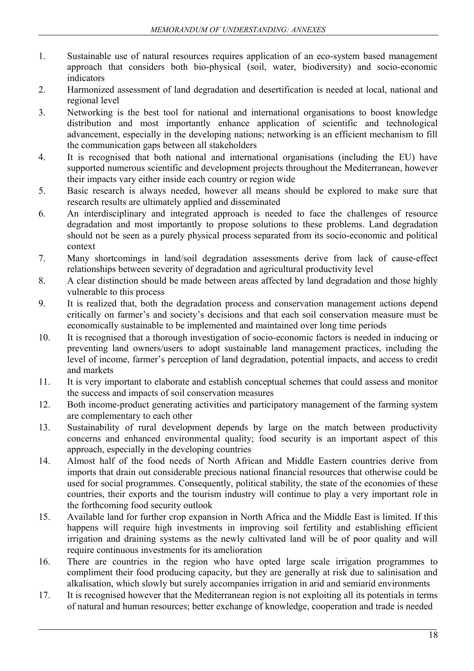- 1. Sustainable use of natural resources requires application of an eco-system based management approach that considers both bio-physical (soil, water, biodiversity) and socio-economic indicators
- 2. Harmonized assessment of land degradation and desertification is needed at local, national and regional level
- 3. Networking is the best tool for national and international organisations to boost knowledge distribution and most importantly enhance application of scientific and technological advancement, especially in the developing nations; networking is an efficient mechanism to fill the communication gaps between all stakeholders
- 4. It is recognised that both national and international organisations (including the EU) have supported numerous scientific and development projects throughout the Mediterranean, however their impacts vary either inside each country or region wide
- 5. Basic research is always needed, however all means should be explored to make sure that research results are ultimately applied and disseminated
- 6. An interdisciplinary and integrated approach is needed to face the challenges of resource degradation and most importantly to propose solutions to these problems. Land degradation should not be seen as a purely physical process separated from its socio-economic and political context
- 7. Many shortcomings in land/soil degradation assessments derive from lack of cause-effect relationships between severity of degradation and agricultural productivity level
- 8. A clear distinction should be made between areas affected by land degradation and those highly vulnerable to this process
- 9. It is realized that, both the degradation process and conservation management actions depend critically on farmer's and society's decisions and that each soil conservation measure must be economically sustainable to be implemented and maintained over long time periods
- 10. It is recognised that a thorough investigation of socio-economic factors is needed in inducing or preventing land owners/users to adopt sustainable land management practices, including the level of income, farmer's perception of land degradation, potential impacts, and access to credit and markets
- 11. It is very important to elaborate and establish conceptual schemes that could assess and monitor the success and impacts of soil conservation measures
- 12. Both income-product generating activities and participatory management of the farming system are complementary to each other
- 13. Sustainability of rural development depends by large on the match between productivity concerns and enhanced environmental quality; food security is an important aspect of this approach, especially in the developing countries
- 14. Almost half of the food needs of North African and Middle Eastern countries derive from imports that drain out considerable precious national financial resources that otherwise could be used for social programmes. Consequently, political stability, the state of the economies of these countries, their exports and the tourism industry will continue to play a very important role in the forthcoming food security outlook
- 15. Available land for further crop expansion in North Africa and the Middle East is limited. If this happens will require high investments in improving soil fertility and establishing efficient irrigation and draining systems as the newly cultivated land will be of poor quality and will require continuous investments for its amelioration
- 16. There are countries in the region who have opted large scale irrigation programmes to compliment their food producing capacity, but they are generally at risk due to salinisation and alkalisation, which slowly but surely accompanies irrigation in arid and semiarid environments
- 17. It is recognised however that the Mediterranean region is not exploiting all its potentials in terms of natural and human resources; better exchange of knowledge, cooperation and trade is needed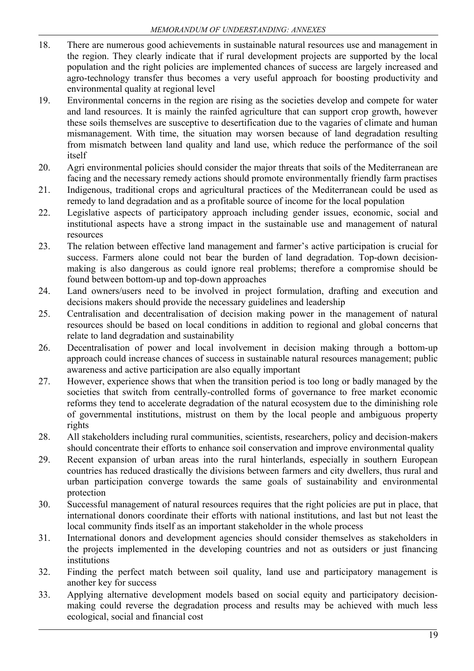- 18. There are numerous good achievements in sustainable natural resources use and management in the region. They clearly indicate that if rural development projects are supported by the local population and the right policies are implemented chances of success are largely increased and agro-technology transfer thus becomes a very useful approach for boosting productivity and environmental quality at regional level
- 19. Environmental concerns in the region are rising as the societies develop and compete for water and land resources. It is mainly the rainfed agriculture that can support crop growth, however these soils themselves are susceptive to desertification due to the vagaries of climate and human mismanagement. With time, the situation may worsen because of land degradation resulting from mismatch between land quality and land use, which reduce the performance of the soil itself
- 20. Agri environmental policies should consider the major threats that soils of the Mediterranean are facing and the necessary remedy actions should promote environmentally friendly farm practises
- 21. Indigenous, traditional crops and agricultural practices of the Mediterranean could be used as remedy to land degradation and as a profitable source of income for the local population
- 22. Legislative aspects of participatory approach including gender issues, economic, social and institutional aspects have a strong impact in the sustainable use and management of natural resources
- 23. The relation between effective land management and farmer's active participation is crucial for success. Farmers alone could not bear the burden of land degradation. Top-down decisionmaking is also dangerous as could ignore real problems; therefore a compromise should be found between bottom-up and top-down approaches
- 24. Land owners/users need to be involved in project formulation, drafting and execution and decisions makers should provide the necessary guidelines and leadership
- 25. Centralisation and decentralisation of decision making power in the management of natural resources should be based on local conditions in addition to regional and global concerns that relate to land degradation and sustainability
- 26. Decentralisation of power and local involvement in decision making through a bottom-up approach could increase chances of success in sustainable natural resources management; public awareness and active participation are also equally important
- 27. However, experience shows that when the transition period is too long or badly managed by the societies that switch from centrally-controlled forms of governance to free market economic reforms they tend to accelerate degradation of the natural ecosystem due to the diminishing role of governmental institutions, mistrust on them by the local people and ambiguous property rights
- 28. All stakeholders including rural communities, scientists, researchers, policy and decision-makers should concentrate their efforts to enhance soil conservation and improve environmental quality
- 29. Recent expansion of urban areas into the rural hinterlands, especially in southern European countries has reduced drastically the divisions between farmers and city dwellers, thus rural and urban participation converge towards the same goals of sustainability and environmental protection
- 30. Successful management of natural resources requires that the right policies are put in place, that international donors coordinate their efforts with national institutions, and last but not least the local community finds itself as an important stakeholder in the whole process
- 31. International donors and development agencies should consider themselves as stakeholders in the projects implemented in the developing countries and not as outsiders or just financing institutions
- 32. Finding the perfect match between soil quality, land use and participatory management is another key for success
- 33. Applying alternative development models based on social equity and participatory decisionmaking could reverse the degradation process and results may be achieved with much less ecological, social and financial cost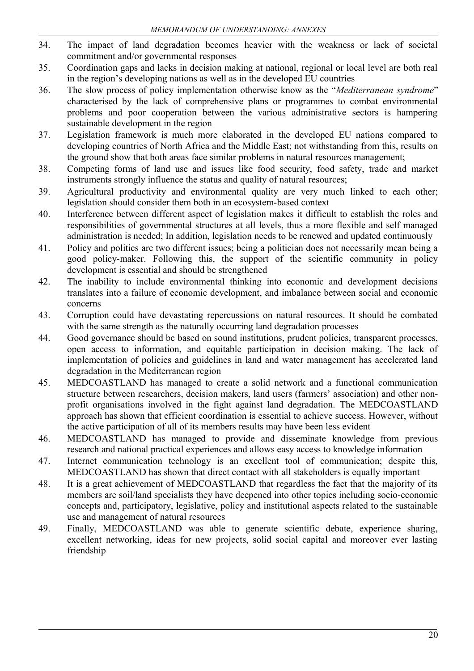- 34. The impact of land degradation becomes heavier with the weakness or lack of societal commitment and/or governmental responses
- 35. Coordination gaps and lacks in decision making at national, regional or local level are both real in the region's developing nations as well as in the developed EU countries
- 36. The slow process of policy implementation otherwise know as the "*Mediterranean syndrome*" characterised by the lack of comprehensive plans or programmes to combat environmental problems and poor cooperation between the various administrative sectors is hampering sustainable development in the region
- 37. Legislation framework is much more elaborated in the developed EU nations compared to developing countries of North Africa and the Middle East; not withstanding from this, results on the ground show that both areas face similar problems in natural resources management;
- 38. Competing forms of land use and issues like food security, food safety, trade and market instruments strongly influence the status and quality of natural resources;
- 39. Agricultural productivity and environmental quality are very much linked to each other; legislation should consider them both in an ecosystem-based context
- 40. Interference between different aspect of legislation makes it difficult to establish the roles and responsibilities of governmental structures at all levels, thus a more flexible and self managed administration is needed; In addition, legislation needs to be renewed and updated continuously
- 41. Policy and politics are two different issues; being a politician does not necessarily mean being a good policy-maker. Following this, the support of the scientific community in policy development is essential and should be strengthened
- 42. The inability to include environmental thinking into economic and development decisions translates into a failure of economic development, and imbalance between social and economic concerns
- 43. Corruption could have devastating repercussions on natural resources. It should be combated with the same strength as the naturally occurring land degradation processes
- 44. Good governance should be based on sound institutions, prudent policies, transparent processes, open access to information, and equitable participation in decision making. The lack of implementation of policies and guidelines in land and water management has accelerated land degradation in the Mediterranean region
- 45. MEDCOASTLAND has managed to create a solid network and a functional communication structure between researchers, decision makers, land users (farmers' association) and other nonprofit organisations involved in the fight against land degradation. The MEDCOASTLAND approach has shown that efficient coordination is essential to achieve success. However, without the active participation of all of its members results may have been less evident
- 46. MEDCOASTLAND has managed to provide and disseminate knowledge from previous research and national practical experiences and allows easy access to knowledge information
- 47. Internet communication technology is an excellent tool of communication; despite this, MEDCOASTLAND has shown that direct contact with all stakeholders is equally important
- 48. It is a great achievement of MEDCOASTLAND that regardless the fact that the majority of its members are soil/land specialists they have deepened into other topics including socio-economic concepts and, participatory, legislative, policy and institutional aspects related to the sustainable use and management of natural resources
- 49. Finally, MEDCOASTLAND was able to generate scientific debate, experience sharing, excellent networking, ideas for new projects, solid social capital and moreover ever lasting friendship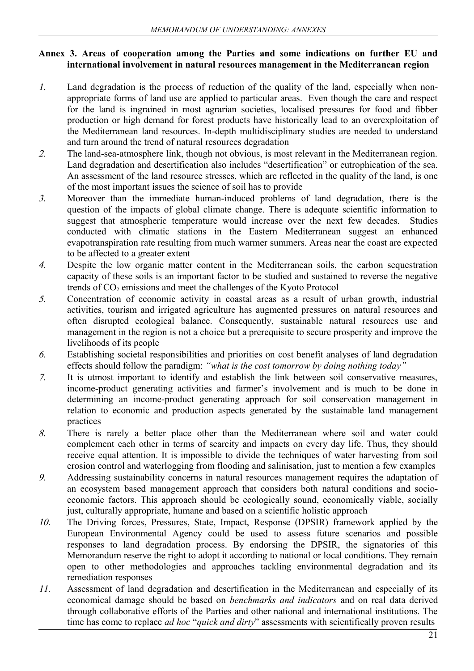#### **Annex 3. Areas of cooperation among the Parties and some indications on further EU and international involvement in natural resources management in the Mediterranean region**

- 1. Land degradation is the process of reduction of the quality of the land, especially when nonappropriate forms of land use are applied to particular areas. Even though the care and respect for the land is ingrained in most agrarian societies, localised pressures for food and fibber production or high demand for forest products have historically lead to an overexploitation of the Mediterranean land resources. In-depth multidisciplinary studies are needed to understand and turn around the trend of natural resources degradation
- 2. The land-sea-atmosphere link, though not obvious, is most relevant in the Mediterranean region. Land degradation and desertification also includes "desertification" or eutrophication of the sea. An assessment of the land resource stresses, which are reflected in the quality of the land, is one of the most important issues the science of soil has to provide
- 3. Moreover than the immediate human-induced problems of land degradation, there is the question of the impacts of global climate change. There is adequate scientific information to suggest that atmospheric temperature would increase over the next few decades. Studies conducted with climatic stations in the Eastern Mediterranean suggest an enhanced evapotranspiration rate resulting from much warmer summers. Areas near the coast are expected to be affected to a greater extent
- 4. Despite the low organic matter content in the Mediterranean soils, the carbon sequestration capacity of these soils is an important factor to be studied and sustained to reverse the negative trends of CO<sub>2</sub> emissions and meet the challenges of the Kyoto Protocol
- 5. Concentration of economic activity in coastal areas as a result of urban growth, industrial activities, tourism and irrigated agriculture has augmented pressures on natural resources and often disrupted ecological balance. Consequently, sustainable natural resources use and management in the region is not a choice but a prerequisite to secure prosperity and improve the livelihoods of its people
- 6. Establishing societal responsibilities and priorities on cost benefit analyses of land degradation effects should follow the paradigm: *"what is the cost tomorrow by doing nothing today"*
- 7. It is utmost important to identify and establish the link between soil conservative measures, income-product generating activities and farmer's involvement and is much to be done in determining an income-product generating approach for soil conservation management in relation to economic and production aspects generated by the sustainable land management practices
- 8. There is rarely a better place other than the Mediterranean where soil and water could complement each other in terms of scarcity and impacts on every day life. Thus, they should receive equal attention. It is impossible to divide the techniques of water harvesting from soil erosion control and waterlogging from flooding and salinisation, just to mention a few examples
- 9. Addressing sustainability concerns in natural resources management requires the adaptation of an ecosystem based management approach that considers both natural conditions and socioeconomic factors. This approach should be ecologically sound, economically viable, socially just, culturally appropriate, humane and based on a scientific holistic approach
- 10. The Driving forces, Pressures, State, Impact, Response (DPSIR) framework applied by the European Environmental Agency could be used to assess future scenarios and possible responses to land degradation process. By endorsing the DPSIR, the signatories of this Memorandum reserve the right to adopt it according to national or local conditions. They remain open to other methodologies and approaches tackling environmental degradation and its remediation responses
- 11. Assessment of land degradation and desertification in the Mediterranean and especially of its economical damage should be based on *benchmarks and indicators* and on real data derived through collaborative efforts of the Parties and other national and international institutions. The time has come to replace *ad hoc* "*quick and dirty*" assessments with scientifically proven results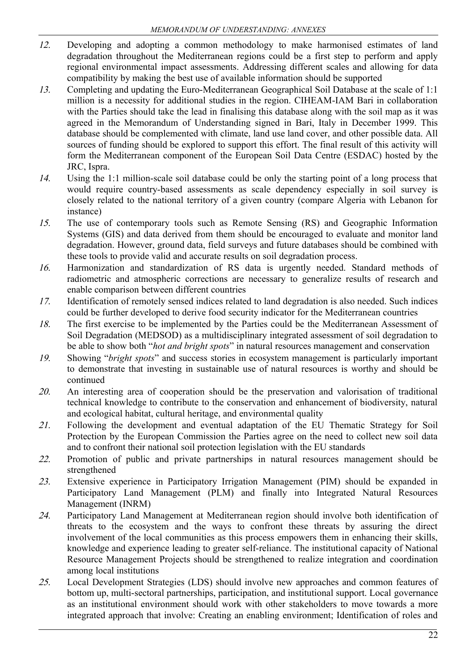- 12. Developing and adopting a common methodology to make harmonised estimates of land degradation throughout the Mediterranean regions could be a first step to perform and apply regional environmental impact assessments. Addressing different scales and allowing for data compatibility by making the best use of available information should be supported
- 13. Completing and updating the Euro-Mediterranean Geographical Soil Database at the scale of 1:1 million is a necessity for additional studies in the region. CIHEAM-IAM Bari in collaboration with the Parties should take the lead in finalising this database along with the soil map as it was agreed in the Memorandum of Understanding signed in Bari, Italy in December 1999. This database should be complemented with climate, land use land cover, and other possible data. All sources of funding should be explored to support this effort. The final result of this activity will form the Mediterranean component of the European Soil Data Centre (ESDAC) hosted by the JRC, Ispra.
- 14. Using the 1:1 million-scale soil database could be only the starting point of a long process that would require country-based assessments as scale dependency especially in soil survey is closely related to the national territory of a given country (compare Algeria with Lebanon for instance)
- 15. The use of contemporary tools such as Remote Sensing (RS) and Geographic Information Systems (GIS) and data derived from them should be encouraged to evaluate and monitor land degradation. However, ground data, field surveys and future databases should be combined with these tools to provide valid and accurate results on soil degradation process.
- 16. Harmonization and standardization of RS data is urgently needed. Standard methods of radiometric and atmospheric corrections are necessary to generalize results of research and enable comparison between different countries
- 17. Identification of remotely sensed indices related to land degradation is also needed. Such indices could be further developed to derive food security indicator for the Mediterranean countries
- 18. The first exercise to be implemented by the Parties could be the Mediterranean Assessment of Soil Degradation (MEDSOD) as a multidisciplinary integrated assessment of soil degradation to be able to show both "*hot and bright spots*" in natural resources management and conservation
- 19. Showing "*bright spots*" and success stories in ecosystem management is particularly important to demonstrate that investing in sustainable use of natural resources is worthy and should be continued
- 20. An interesting area of cooperation should be the preservation and valorisation of traditional technical knowledge to contribute to the conservation and enhancement of biodiversity, natural and ecological habitat, cultural heritage, and environmental quality
- 21. Following the development and eventual adaptation of the EU Thematic Strategy for Soil Protection by the European Commission the Parties agree on the need to collect new soil data and to confront their national soil protection legislation with the EU standards
- 22. Promotion of public and private partnerships in natural resources management should be strengthened
- 23. Extensive experience in Participatory Irrigation Management (PIM) should be expanded in Participatory Land Management (PLM) and finally into Integrated Natural Resources Management (INRM)
- 24. Participatory Land Management at Mediterranean region should involve both identification of threats to the ecosystem and the ways to confront these threats by assuring the direct involvement of the local communities as this process empowers them in enhancing their skills, knowledge and experience leading to greater self-reliance. The institutional capacity of National Resource Management Projects should be strengthened to realize integration and coordination among local institutions
- 25. Local Development Strategies (LDS) should involve new approaches and common features of bottom up, multi-sectoral partnerships, participation, and institutional support. Local governance as an institutional environment should work with other stakeholders to move towards a more integrated approach that involve: Creating an enabling environment; Identification of roles and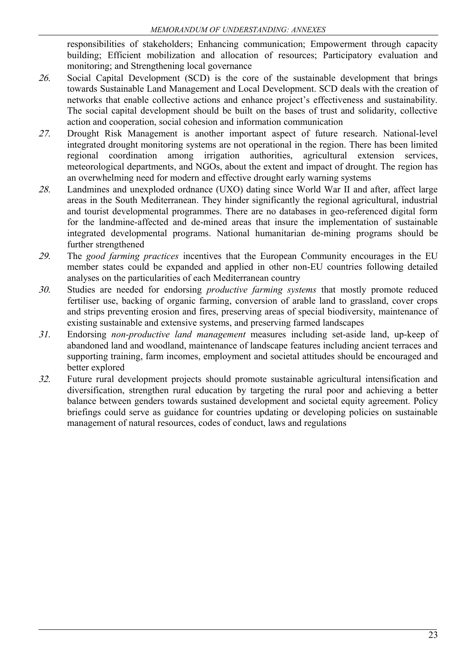responsibilities of stakeholders; Enhancing communication; Empowerment through capacity building; Efficient mobilization and allocation of resources; Participatory evaluation and monitoring; and Strengthening local governance

- 26. Social Capital Development (SCD) is the core of the sustainable development that brings towards Sustainable Land Management and Local Development. SCD deals with the creation of networks that enable collective actions and enhance project's effectiveness and sustainability. The social capital development should be built on the bases of trust and solidarity, collective action and cooperation, social cohesion and information communication
- 27. Drought Risk Management is another important aspect of future research. National-level integrated drought monitoring systems are not operational in the region. There has been limited regional coordination among irrigation authorities, agricultural extension services, meteorological departments, and NGOs, about the extent and impact of drought. The region has an overwhelming need for modern and effective drought early warning systems
- 28. Landmines and unexploded ordnance (UXO) dating since World War II and after, affect large areas in the South Mediterranean. They hinder significantly the regional agricultural, industrial and tourist developmental programmes. There are no databases in geo-referenced digital form for the landmine-affected and de-mined areas that insure the implementation of sustainable integrated developmental programs. National humanitarian de-mining programs should be further strengthened
- 29. The *good farming practices* incentives that the European Community encourages in the EU member states could be expanded and applied in other non-EU countries following detailed analyses on the particularities of each Mediterranean country
- 30. Studies are needed for endorsing *productive farming systems* that mostly promote reduced fertiliser use, backing of organic farming, conversion of arable land to grassland, cover crops and strips preventing erosion and fires, preserving areas of special biodiversity, maintenance of existing sustainable and extensive systems, and preserving farmed landscapes
- 31. Endorsing *non-productive land management* measures including set-aside land, up-keep of abandoned land and woodland, maintenance of landscape features including ancient terraces and supporting training, farm incomes, employment and societal attitudes should be encouraged and better explored
- 32. Future rural development projects should promote sustainable agricultural intensification and diversification, strengthen rural education by targeting the rural poor and achieving a better balance between genders towards sustained development and societal equity agreement. Policy briefings could serve as guidance for countries updating or developing policies on sustainable management of natural resources, codes of conduct, laws and regulations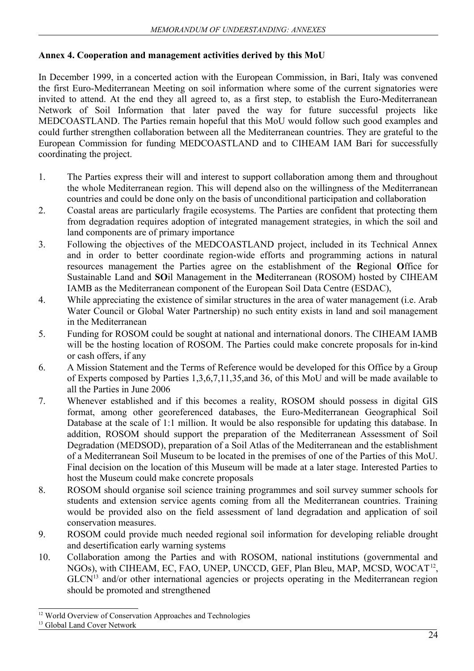#### **Annex 4. Cooperation and management activities derived by this MoU**

In December 1999, in a concerted action with the European Commission, in Bari, Italy was convened the first Euro-Mediterranean Meeting on soil information where some of the current signatories were invited to attend. At the end they all agreed to, as a first step, to establish the Euro-Mediterranean Network of Soil Information that later paved the way for future successful projects like MEDCOASTLAND. The Parties remain hopeful that this MoU would follow such good examples and could further strengthen collaboration between all the Mediterranean countries. They are grateful to the European Commission for funding MEDCOASTLAND and to CIHEAM IAM Bari for successfully coordinating the project.

- 1. The Parties express their will and interest to support collaboration among them and throughout the whole Mediterranean region. This will depend also on the willingness of the Mediterranean countries and could be done only on the basis of unconditional participation and collaboration
- 2. Coastal areas are particularly fragile ecosystems. The Parties are confident that protecting them from degradation requires adoption of integrated management strategies, in which the soil and land components are of primary importance
- 3. Following the objectives of the MEDCOASTLAND project, included in its Technical Annex and in order to better coordinate region-wide efforts and programming actions in natural resources management the Parties agree on the establishment of the **R**egional **O**ffice for Sustainable Land and **SO**il Management in the **M**editerranean (ROSOM) hosted by CIHEAM IAMB as the Mediterranean component of the European Soil Data Centre (ESDAC),
- 4. While appreciating the existence of similar structures in the area of water management (i.e. Arab Water Council or Global Water Partnership) no such entity exists in land and soil management in the Mediterranean
- 5. Funding for ROSOM could be sought at national and international donors. The CIHEAM IAMB will be the hosting location of ROSOM. The Parties could make concrete proposals for in-kind or cash offers, if any
- 6. A Mission Statement and the Terms of Reference would be developed for this Office by a Group of Experts composed by Parties 1,3,6,7,11,35,and 36, of this MoU and will be made available to all the Parties in June 2006
- 7. Whenever established and if this becomes a reality, ROSOM should possess in digital GIS format, among other georeferenced databases, the Euro-Mediterranean Geographical Soil Database at the scale of 1:1 million. It would be also responsible for updating this database. In addition, ROSOM should support the preparation of the Mediterranean Assessment of Soil Degradation (MEDSOD), preparation of a Soil Atlas of the Mediterranean and the establishment of a Mediterranean Soil Museum to be located in the premises of one of the Parties of this MoU. Final decision on the location of this Museum will be made at a later stage. Interested Parties to host the Museum could make concrete proposals
- 8. ROSOM should organise soil science training programmes and soil survey summer schools for students and extension service agents coming from all the Mediterranean countries. Training would be provided also on the field assessment of land degradation and application of soil conservation measures.
- 9. ROSOM could provide much needed regional soil information for developing reliable drought and desertification early warning systems
- 10. Collaboration among the Parties and with ROSOM, national institutions (governmental and NGOs), with CIHEAM, EC, FAO, UNEP, UNCCD, GEF, Plan Bleu, MAP, MCSD, WOCAT<sup>[12](#page-24-0)</sup>, GLCN<sup>[13](#page-24-1)</sup> and/or other international agencies or projects operating in the Mediterranean region should be promoted and strengthened

<span id="page-24-0"></span><sup>&</sup>lt;sup>12</sup> World Overview of Conservation Approaches and Technologies

<span id="page-24-1"></span><sup>&</sup>lt;sup>13</sup> Global Land Cover Network